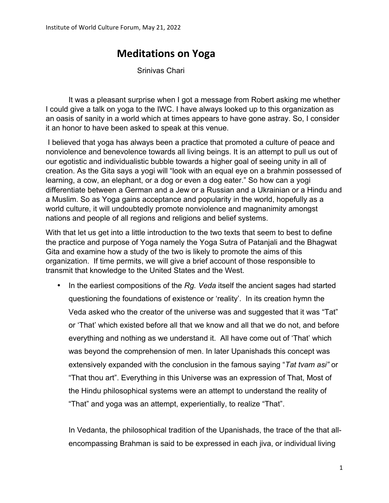# **Meditations on Yoga**

Srinivas Chari

It was a pleasant surprise when I got a message from Robert asking me whether I could give a talk on yoga to the IWC. I have always looked up to this organization as an oasis of sanity in a world which at times appears to have gone astray. So, I consider it an honor to have been asked to speak at this venue.

I believed that yoga has always been a practice that promoted a culture of peace and nonviolence and benevolence towards all living beings. It is an attempt to pull us out of our egotistic and individualistic bubble towards a higher goal of seeing unity in all of creation. As the Gita says a yogi will "look with an equal eye on a brahmin possessed of learning, a cow, an elephant, or a dog or even a dog eater." So how can a yogi differentiate between a German and a Jew or a Russian and a Ukrainian or a Hindu and a Muslim. So as Yoga gains acceptance and popularity in the world, hopefully as a world culture, it will undoubtedly promote nonviolence and magnanimity amongst nations and people of all regions and religions and belief systems.

With that let us get into a little introduction to the two texts that seem to best to define the practice and purpose of Yoga namely the Yoga Sutra of Patanjali and the Bhagwat Gita and examine how a study of the two is likely to promote the aims of this organization. If time permits, we will give a brief account of those responsible to transmit that knowledge to the United States and the West.

• In the earliest compositions of the *Rg. Veda* itself the ancient sages had started questioning the foundations of existence or 'reality'. In its creation hymn the Veda asked who the creator of the universe was and suggested that it was "Tat" or 'That' which existed before all that we know and all that we do not, and before everything and nothing as we understand it. All have come out of 'That' which was beyond the comprehension of men. In later Upanishads this concept was extensively expanded with the conclusion in the famous saying "*Tat tvam asi"* or "That thou art". Everything in this Universe was an expression of That, Most of the Hindu philosophical systems were an attempt to understand the reality of "That" and yoga was an attempt, experientially, to realize "That".

In Vedanta, the philosophical tradition of the Upanishads, the trace of the that allencompassing Brahman is said to be expressed in each jiva, or individual living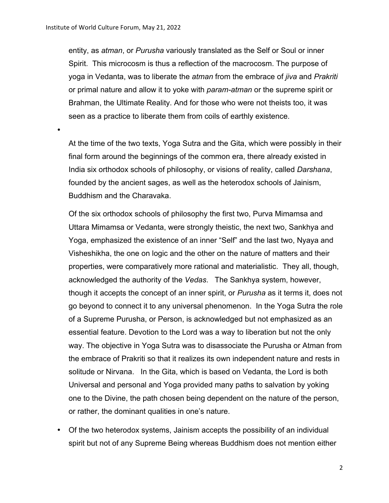•

entity, as *atman*, or *Purusha* variously translated as the Self or Soul or inner Spirit. This microcosm is thus a reflection of the macrocosm. The purpose of yoga in Vedanta, was to liberate the *atman* from the embrace of *jiva* and *Prakriti*  or primal nature and allow it to yoke with *param-atman* or the supreme spirit or Brahman, the Ultimate Reality. And for those who were not theists too, it was seen as a practice to liberate them from coils of earthly existence.

At the time of the two texts, Yoga Sutra and the Gita, which were possibly in their final form around the beginnings of the common era, there already existed in India six orthodox schools of philosophy, or visions of reality, called *Darshana*, founded by the ancient sages, as well as the heterodox schools of Jainism, Buddhism and the Charavaka.

Of the six orthodox schools of philosophy the first two, Purva Mimamsa and Uttara Mimamsa or Vedanta, were strongly theistic, the next two, Sankhya and Yoga, emphasized the existence of an inner "Self" and the last two, Nyaya and Visheshikha, the one on logic and the other on the nature of matters and their properties, were comparatively more rational and materialistic. They all, though, acknowledged the authority of the *Vedas*. The Sankhya system, however, though it accepts the concept of an inner spirit, or *Purusha* as it terms it, does not go beyond to connect it to any universal phenomenon. In the Yoga Sutra the role of a Supreme Purusha, or Person, is acknowledged but not emphasized as an essential feature. Devotion to the Lord was a way to liberation but not the only way. The objective in Yoga Sutra was to disassociate the Purusha or Atman from the embrace of Prakriti so that it realizes its own independent nature and rests in solitude or Nirvana. In the Gita, which is based on Vedanta, the Lord is both Universal and personal and Yoga provided many paths to salvation by yoking one to the Divine, the path chosen being dependent on the nature of the person, or rather, the dominant qualities in one's nature.

• Of the two heterodox systems, Jainism accepts the possibility of an individual spirit but not of any Supreme Being whereas Buddhism does not mention either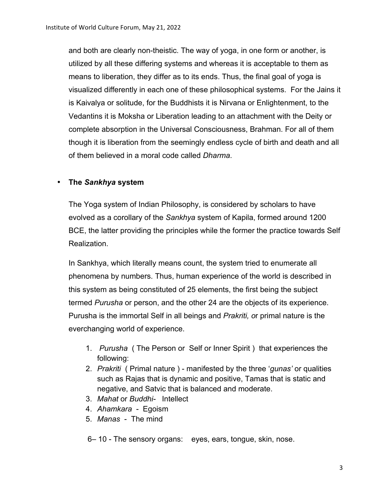and both are clearly non-theistic. The way of yoga, in one form or another, is utilized by all these differing systems and whereas it is acceptable to them as means to liberation, they differ as to its ends. Thus, the final goal of yoga is visualized differently in each one of these philosophical systems. For the Jains it is Kaivalya or solitude, for the Buddhists it is Nirvana or Enlightenment, to the Vedantins it is Moksha or Liberation leading to an attachment with the Deity or complete absorption in the Universal Consciousness, Brahman. For all of them though it is liberation from the seemingly endless cycle of birth and death and all of them believed in a moral code called *Dharma*.

### • **The** *Sankhya* **system**

The Yoga system of Indian Philosophy, is considered by scholars to have evolved as a corollary of the *Sankhya* system of Kapila, formed around 1200 BCE, the latter providing the principles while the former the practice towards Self Realization.

In Sankhya, which literally means count, the system tried to enumerate all phenomena by numbers. Thus, human experience of the world is described in this system as being constituted of 25 elements, the first being the subject termed *Purusha* or person, and the other 24 are the objects of its experience. Purusha is the immortal Self in all beings and *Prakriti, o*r primal nature is the everchanging world of experience.

- 1. *Purusha* ( The Person or Self or Inner Spirit ) that experiences the following:
- 2. *Prakriti* ( Primal nature ) manifested by the three '*gunas'* or qualities such as Rajas that is dynamic and positive, Tamas that is static and negative, and Satvic that is balanced and moderate.
- 3. *Mahat* or *Buddhi-* Intellect
- 4. *Ahamkara*  Egoism
- 5. *Manas*  The mind

6*–* 10 - The sensory organs: eyes, ears, tongue, skin, nose.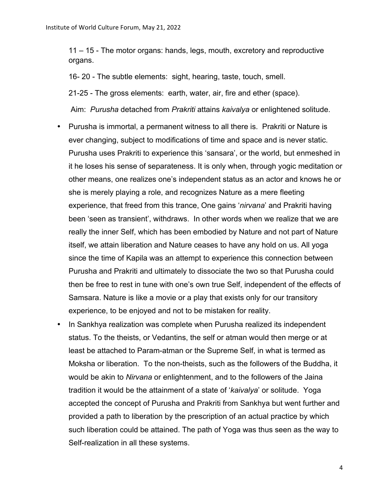11 – 15 - The motor organs: hands, legs, mouth, excretory and reproductive organs.

16- 20 - The subtle elements: sight, hearing, taste, touch, smell.

21-25 - The gross elements: earth, water, air, fire and ether (space).

Aim: *Purusha* detached from *Prakriti* attains *kaivalya* or enlightened solitude.

- Purusha is immortal, a permanent witness to all there is. Prakriti or Nature is ever changing, subject to modifications of time and space and is never static. Purusha uses Prakriti to experience this 'sansara', or the world, but enmeshed in it he loses his sense of separateness. It is only when, through yogic meditation or other means, one realizes one's independent status as an actor and knows he or she is merely playing a role, and recognizes Nature as a mere fleeting experience, that freed from this trance, One gains '*nirvana*' and Prakriti having been 'seen as transient', withdraws. In other words when we realize that we are really the inner Self, which has been embodied by Nature and not part of Nature itself, we attain liberation and Nature ceases to have any hold on us. All yoga since the time of Kapila was an attempt to experience this connection between Purusha and Prakriti and ultimately to dissociate the two so that Purusha could then be free to rest in tune with one's own true Self, independent of the effects of Samsara. Nature is like a movie or a play that exists only for our transitory experience, to be enjoyed and not to be mistaken for reality.
- In Sankhya realization was complete when Purusha realized its independent status. To the theists, or Vedantins, the self or atman would then merge or at least be attached to Param-atman or the Supreme Self, in what is termed as Moksha or liberation. To the non-theists, such as the followers of the Buddha, it would be akin to *Nirvana* or enlightenment, and to the followers of the Jaina tradition it would be the attainment of a state of '*kaivalya*' or solitude. Yoga accepted the concept of Purusha and Prakriti from Sankhya but went further and provided a path to liberation by the prescription of an actual practice by which such liberation could be attained. The path of Yoga was thus seen as the way to Self-realization in all these systems.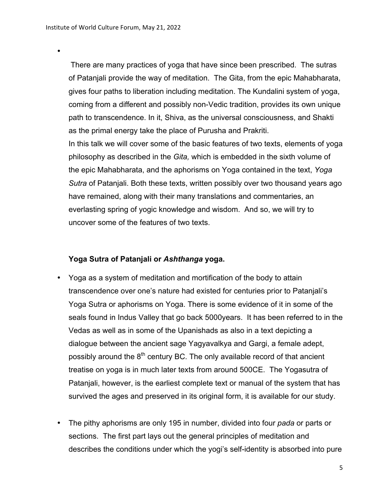•

There are many practices of yoga that have since been prescribed. The sutras of Patanjali provide the way of meditation. The Gita, from the epic Mahabharata, gives four paths to liberation including meditation. The Kundalini system of yoga, coming from a different and possibly non-Vedic tradition, provides its own unique path to transcendence. In it, Shiva, as the universal consciousness, and Shakti as the primal energy take the place of Purusha and Prakriti.

In this talk we will cover some of the basic features of two texts, elements of yoga philosophy as described in the *Gita,* which is embedded in the sixth volume of the epic Mahabharata, and the aphorisms on Yoga contained in the text, *Yoga Sutra* of Patanjali. Both these texts, written possibly over two thousand years ago have remained, along with their many translations and commentaries, an everlasting spring of yogic knowledge and wisdom. And so, we will try to uncover some of the features of two texts.

#### **Yoga Sutra of Patanjali or** *Ashthanga* **yoga.**

- Yoga as a system of meditation and mortification of the body to attain transcendence over one's nature had existed for centuries prior to Patanjali's Yoga Sutra or aphorisms on Yoga. There is some evidence of it in some of the seals found in Indus Valley that go back 5000years. It has been referred to in the Vedas as well as in some of the Upanishads as also in a text depicting a dialogue between the ancient sage Yagyavalkya and Gargi, a female adept, possibly around the  $8<sup>th</sup>$  century BC. The only available record of that ancient treatise on yoga is in much later texts from around 500CE. The Yogasutra of Patanjali, however, is the earliest complete text or manual of the system that has survived the ages and preserved in its original form, it is available for our study.
- The pithy aphorisms are only 195 in number, divided into four *pada* or parts or sections. The first part lays out the general principles of meditation and describes the conditions under which the yogi's self-identity is absorbed into pure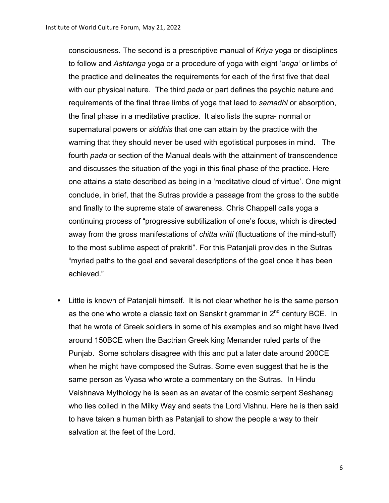consciousness. The second is a prescriptive manual of *Kriya* yoga or disciplines to follow and *Ashtanga* yoga or a procedure of yoga with eight '*anga'* or limbs of the practice and delineates the requirements for each of the first five that deal with our physical nature. The third *pada* or part defines the psychic nature and requirements of the final three limbs of yoga that lead to *samadhi* or absorption, the final phase in a meditative practice. It also lists the supra- normal or supernatural powers or *siddhis* that one can attain by the practice with the warning that they should never be used with egotistical purposes in mind. The fourth *pada* or section of the Manual deals with the attainment of transcendence and discusses the situation of the yogi in this final phase of the practice. Here one attains a state described as being in a 'meditative cloud of virtue'. One might conclude, in brief, that the Sutras provide a passage from the gross to the subtle and finally to the supreme state of awareness. Chris Chappell calls yoga a continuing process of "progressive subtilization of one's focus, which is directed away from the gross manifestations of *chitta vritti* (fluctuations of the mind-stuff) to the most sublime aspect of prakriti". For this Patanjali provides in the Sutras "myriad paths to the goal and several descriptions of the goal once it has been achieved."

Little is known of Patanjali himself. It is not clear whether he is the same person as the one who wrote a classic text on Sanskrit grammar in  $2^{nd}$  century BCE. In that he wrote of Greek soldiers in some of his examples and so might have lived around 150BCE when the Bactrian Greek king Menander ruled parts of the Punjab. Some scholars disagree with this and put a later date around 200CE when he might have composed the Sutras. Some even suggest that he is the same person as Vyasa who wrote a commentary on the Sutras. In Hindu Vaishnava Mythology he is seen as an avatar of the cosmic serpent Seshanag who lies coiled in the Milky Way and seats the Lord Vishnu. Here he is then said to have taken a human birth as Patanjali to show the people a way to their salvation at the feet of the Lord.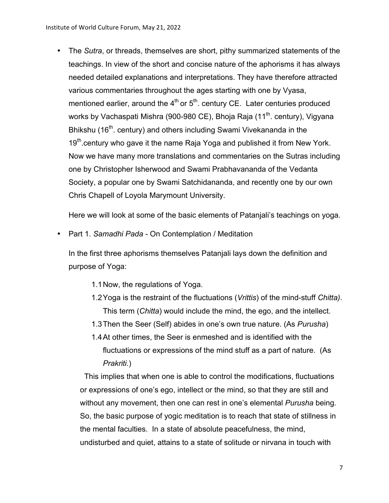• The *Sutra*, or threads, themselves are short, pithy summarized statements of the teachings. In view of the short and concise nature of the aphorisms it has always needed detailed explanations and interpretations. They have therefore attracted various commentaries throughout the ages starting with one by Vyasa, mentioned earlier, around the  $4<sup>th</sup>$  or  $5<sup>th</sup>$ . century CE. Later centuries produced works by Vachaspati Mishra (900-980 CE), Bhoja Raja (11<sup>th</sup>. century), Vigyana Bhikshu (16<sup>th</sup>. century) and others including Swami Vivekananda in the 19<sup>th</sup>.century who gave it the name Raja Yoga and published it from New York. Now we have many more translations and commentaries on the Sutras including one by Christopher Isherwood and Swami Prabhavananda of the Vedanta Society, a popular one by Swami Satchidananda, and recently one by our own Chris Chapell of Loyola Marymount University.

Here we will look at some of the basic elements of Patanjali's teachings on yoga.

• Part 1. *Samadhi Pada -* On Contemplation / Meditation

In the first three aphorisms themselves Patanjali lays down the definition and purpose of Yoga:

- 1.1Now, the regulations of Yoga.
- 1.2Yoga is the restraint of the fluctuations (*Vrittis*) of the mind-stuff *Chitta)*. This term (*Chitta*) would include the mind, the ego, and the intellect.
- 1.3Then the Seer (Self) abides in one's own true nature. (As *Purusha*)
- 1.4At other times, the Seer is enmeshed and is identified with the fluctuations or expressions of the mind stuff as a part of nature. (As *Prakriti.*)

This implies that when one is able to control the modifications, fluctuations or expressions of one's ego, intellect or the mind, so that they are still and without any movement, then one can rest in one's elemental *Purusha* being. So, the basic purpose of yogic meditation is to reach that state of stillness in the mental faculties. In a state of absolute peacefulness, the mind, undisturbed and quiet, attains to a state of solitude or nirvana in touch with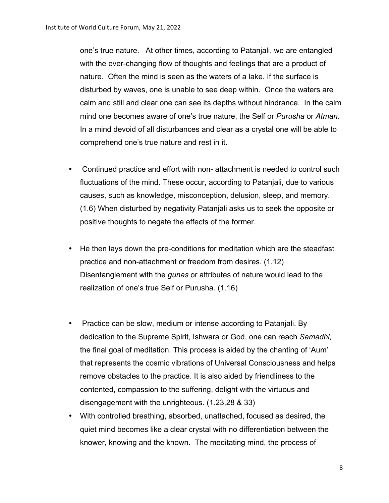one's true nature. At other times, according to Patanjali, we are entangled with the ever-changing flow of thoughts and feelings that are a product of nature. Often the mind is seen as the waters of a lake. If the surface is disturbed by waves, one is unable to see deep within. Once the waters are calm and still and clear one can see its depths without hindrance. In the calm mind one becomes aware of one's true nature, the Self or *Purusha* or *Atman*. In a mind devoid of all disturbances and clear as a crystal one will be able to comprehend one's true nature and rest in it.

- Continued practice and effort with non- attachment is needed to control such fluctuations of the mind. These occur, according to Patanjali, due to various causes, such as knowledge, misconception, delusion, sleep, and memory. (1.6) When disturbed by negativity Patanjali asks us to seek the opposite or positive thoughts to negate the effects of the former.
- He then lays down the pre-conditions for meditation which are the steadfast practice and non-attachment or freedom from desires. (1.12) Disentanglement with the *gunas* or attributes of nature would lead to the realization of one's true Self or Purusha. (1.16)
- Practice can be slow, medium or intense according to Patanjali. By dedication to the Supreme Spirit, Ishwara or God, one can reach *Samadhi,* the final goal of meditation. This process is aided by the chanting of 'Aum' that represents the cosmic vibrations of Universal Consciousness and helps remove obstacles to the practice. It is also aided by friendliness to the contented, compassion to the suffering, delight with the virtuous and disengagement with the unrighteous. (1.23,28 & 33)
- With controlled breathing, absorbed, unattached, focused as desired, the quiet mind becomes like a clear crystal with no differentiation between the knower, knowing and the known. The meditating mind, the process of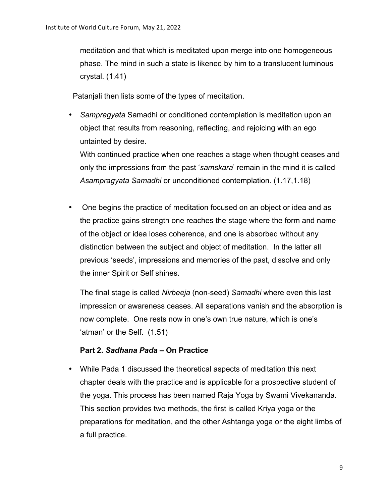meditation and that which is meditated upon merge into one homogeneous phase. The mind in such a state is likened by him to a translucent luminous crystal. (1.41)

Patanjali then lists some of the types of meditation.

• *Sampragyata* Samadhi or conditioned contemplation is meditation upon an object that results from reasoning, reflecting, and rejoicing with an ego untainted by desire.

With continued practice when one reaches a stage when thought ceases and only the impressions from the past '*samskara*' remain in the mind it is called *Asampragyata Samadhi* or unconditioned contemplation. (1.17,1.18)

• One begins the practice of meditation focused on an object or idea and as the practice gains strength one reaches the stage where the form and name of the object or idea loses coherence, and one is absorbed without any distinction between the subject and object of meditation. In the latter all previous 'seeds', impressions and memories of the past, dissolve and only the inner Spirit or Self shines.

The final stage is called *Nirbeeja* (non-seed) *Samadhi* where even this last impression or awareness ceases. All separations vanish and the absorption is now complete. One rests now in one's own true nature, which is one's 'atman' or the Self. (1.51)

### **Part 2.** *Sadhana Pada* **– On Practice**

• While Pada 1 discussed the theoretical aspects of meditation this next chapter deals with the practice and is applicable for a prospective student of the yoga. This process has been named Raja Yoga by Swami Vivekananda. This section provides two methods, the first is called Kriya yoga or the preparations for meditation, and the other Ashtanga yoga or the eight limbs of a full practice.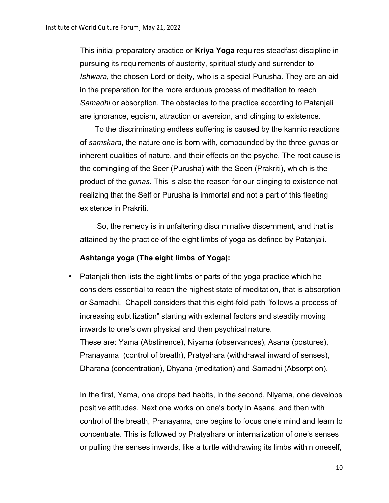This initial preparatory practice or **Kriya Yoga** requires steadfast discipline in pursuing its requirements of austerity, spiritual study and surrender to *Ishwara*, the chosen Lord or deity, who is a special Purusha. They are an aid in the preparation for the more arduous process of meditation to reach *Samadhi* or absorption. The obstacles to the practice according to Patanjali are ignorance, egoism, attraction or aversion, and clinging to existence.

To the discriminating endless suffering is caused by the karmic reactions of *samskara*, the nature one is born with, compounded by the three *gunas* or inherent qualities of nature, and their effects on the psyche. The root cause is the comingling of the Seer (Purusha) with the Seen (Prakriti), which is the product of the *gunas.* This is also the reason for our clinging to existence not realizing that the Self or Purusha is immortal and not a part of this fleeting existence in Prakriti.

So, the remedy is in unfaltering discriminative discernment, and that is attained by the practice of the eight limbs of yoga as defined by Patanjali.

#### **Ashtanga yoga (The eight limbs of Yoga):**

• Patanjali then lists the eight limbs or parts of the yoga practice which he considers essential to reach the highest state of meditation, that is absorption or Samadhi. Chapell considers that this eight-fold path "follows a process of increasing subtilization" starting with external factors and steadily moving inwards to one's own physical and then psychical nature. These are: Yama (Abstinence), Niyama (observances), Asana (postures), Pranayama (control of breath), Pratyahara (withdrawal inward of senses), Dharana (concentration), Dhyana (meditation) and Samadhi (Absorption).

In the first, Yama, one drops bad habits, in the second, Niyama, one develops positive attitudes. Next one works on one's body in Asana, and then with control of the breath, Pranayama, one begins to focus one's mind and learn to concentrate. This is followed by Pratyahara or internalization of one's senses or pulling the senses inwards, like a turtle withdrawing its limbs within oneself,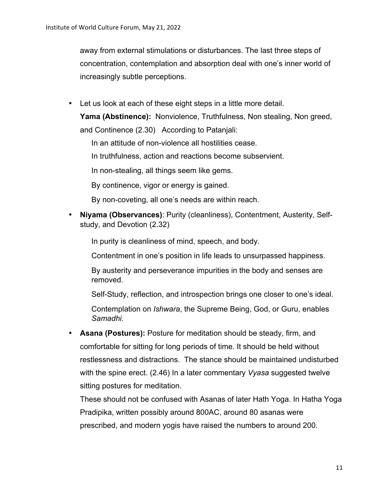away from external stimulations or disturbances. The last three steps of concentration, contemplation and absorption deal with one's inner world of increasingly subtle perceptions.

• Let us look at each of these eight steps in a little more detail.

**Yama (Abstinence):** Nonviolence, Truthfulness, Non stealing, Non greed, and Continence (2.30) According to Patanjali:

In an attitude of non-violence all hostilities cease.

In truthfulness, action and reactions become subservient.

In non-stealing, all things seem like gems.

By continence, vigor or energy is gained.

By non-coveting, all one's needs are within reach.

• **Niyama (Observances)**: Purity (cleanliness), Contentment, Austerity, Selfstudy, and Devotion (2.32)

In purity is cleanliness of mind, speech, and body.

Contentment in one's position in life leads to unsurpassed happiness.

By austerity and perseverance impurities in the body and senses are removed.

Self-Study, reflection, and introspection brings one closer to one's ideal.

Contemplation on *Ishwara*, the Supreme Being, God, or Guru, enables *Samadhi.*

• **Asana (Postures):** Posture for meditation should be steady, firm, and comfortable for sitting for long periods of time. It should be held without restlessness and distractions. The stance should be maintained undisturbed with the spine erect. (2.46) In a later commentary *Vyasa* suggested twelve sitting postures for meditation.

These should not be confused with Asanas of later Hath Yoga. In Hatha Yoga Pradipika, written possibly around 800AC, around 80 asanas were prescribed, and modern yogis have raised the numbers to around 200.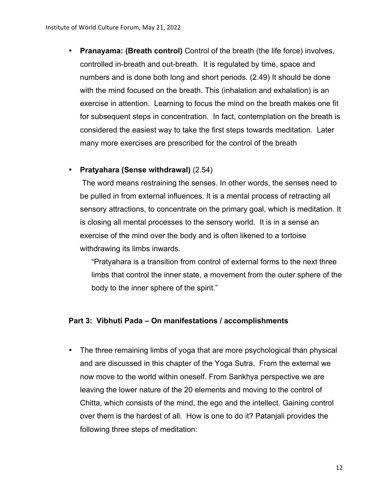• **Pranayama: (Breath control)** Control of the breath (the life force) involves, controlled in-breath and out-breath. It is regulated by time, space and numbers and is done both long and short periods. (2.49) It should be done with the mind focused on the breath. This (inhalation and exhalation) is an exercise in attention. Learning to focus the mind on the breath makes one fit for subsequent steps in concentration. In fact, contemplation on the breath is considered the easiest way to take the first steps towards meditation. Later many more exercises are prescribed for the control of the breath

### • **Pratyahara (Sense withdrawal)** (2.54)

The word means restraining the senses. In other words, the senses need to be pulled in from external influences. It is a mental process of retracting all sensory attractions, to concentrate on the primary goal, which is meditation. It is closing all mental processes to the sensory world. It is in a sense an exercise of the mind over the body and is often likened to a tortoise withdrawing its limbs inwards.

"Pratyahara is a transition from control of external forms to the next three limbs that control the inner state, a movement from the outer sphere of the body to the inner sphere of the spirit."

### **Part 3: Vibhuti Pada – On manifestations / accomplishments**

• The three remaining limbs of yoga that are more psychological than physical and are discussed in this chapter of the Yoga Sutra. From the external we now move to the world within oneself. From Sankhya perspective we are leaving the lower nature of the 20 elements and moving to the control of Chitta, which consists of the mind, the ego and the intellect. Gaining control over them is the hardest of all. How is one to do it? Patanjali provides the following three steps of meditation: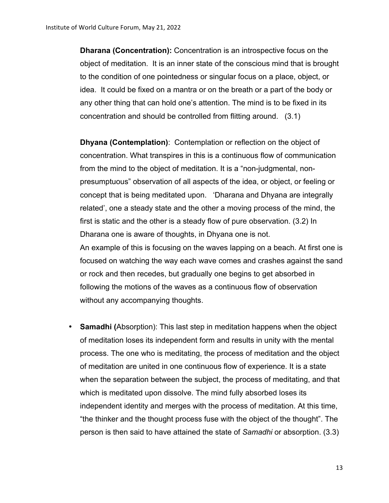**Dharana (Concentration):** Concentration is an introspective focus on the object of meditation. It is an inner state of the conscious mind that is brought to the condition of one pointedness or singular focus on a place, object, or idea. It could be fixed on a mantra or on the breath or a part of the body or any other thing that can hold one's attention. The mind is to be fixed in its concentration and should be controlled from flitting around. (3.1)

**Dhyana (Contemplation)**: Contemplation or reflection on the object of concentration. What transpires in this is a continuous flow of communication from the mind to the object of meditation. It is a "non-judgmental, nonpresumptuous" observation of all aspects of the idea, or object, or feeling or concept that is being meditated upon. 'Dharana and Dhyana are integrally related', one a steady state and the other a moving process of the mind, the first is static and the other is a steady flow of pure observation. (3.2) In Dharana one is aware of thoughts, in Dhyana one is not. An example of this is focusing on the waves lapping on a beach. At first one is focused on watching the way each wave comes and crashes against the sand or rock and then recedes, but gradually one begins to get absorbed in following the motions of the waves as a continuous flow of observation without any accompanying thoughts.

• **Samadhi (**Absorption): This last step in meditation happens when the object of meditation loses its independent form and results in unity with the mental process. The one who is meditating, the process of meditation and the object of meditation are united in one continuous flow of experience. It is a state when the separation between the subject, the process of meditating, and that which is meditated upon dissolve. The mind fully absorbed loses its independent identity and merges with the process of meditation. At this time, "the thinker and the thought process fuse with the object of the thought". The person is then said to have attained the state of *Samadhi* or absorption. (3.3)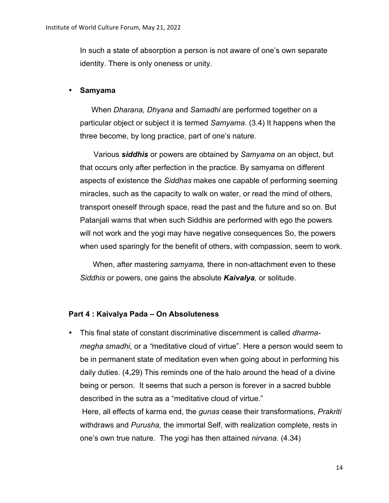In such a state of absorption a person is not aware of one's own separate identity. There is only oneness or unity.

#### • **Samyama**

When *Dharana, Dhyana* and *Samadhi* are performed together on a particular object or subject it is termed *Samyama*. (3.4) It happens when the three become, by long practice, part of one's nature.

Various *siddhis* or powers are obtained by *Samyama* on an object, but that occurs only after perfection in the practice. By samyama on different aspects of existence the *Siddhas* makes one capable of performing seeming miracles, such as the capacity to walk on water, or read the mind of others, transport oneself through space, read the past and the future and so on. But Patanjali warns that when such Siddhis are performed with ego the powers will not work and the yogi may have negative consequences So, the powers when used sparingly for the benefit of others, with compassion, seem to work.

When, after mastering *samyama,* there in non-attachment even to these *Siddhis* or powers, one gains the absolute *Kaivalya,* or solitude.

#### **Part 4 : Kaivalya Pada – On Absoluteness**

• This final state of constant discriminative discernment is called *dharmamegha smadhi,* or a *"*meditative cloud of virtue". Here a person would seem to be in permanent state of meditation even when going about in performing his daily duties. (4,29) This reminds one of the halo around the head of a divine being or person. It seems that such a person is forever in a sacred bubble described in the sutra as a "meditative cloud of virtue." Here, all effects of karma end, the *gunas* cease their transformations, *Prakriti* withdraws and *Purusha,* the immortal Self, with realization complete, rests in one's own true nature. The yogi has then attained *nirvana.* (4.34)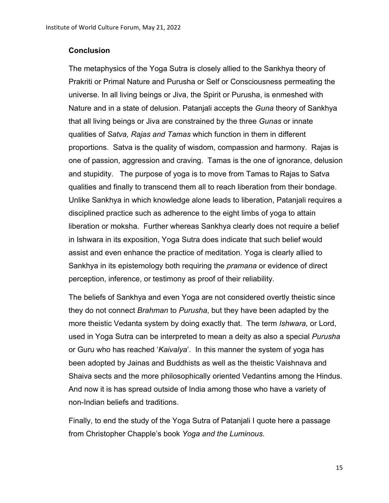#### **Conclusion**

The metaphysics of the Yoga Sutra is closely allied to the Sankhya theory of Prakriti or Primal Nature and Purusha or Self or Consciousness permeating the universe. In all living beings or Jiva, the Spirit or Purusha, is enmeshed with Nature and in a state of delusion. Patanjali accepts the *Guna* theory of Sankhya that all living beings or Jiva are constrained by the three *Gunas* or innate qualities of *Satva, Rajas and Tamas* which function in them in different proportions. Satva is the quality of wisdom, compassion and harmony. Rajas is one of passion, aggression and craving. Tamas is the one of ignorance, delusion and stupidity. The purpose of yoga is to move from Tamas to Rajas to Satva qualities and finally to transcend them all to reach liberation from their bondage. Unlike Sankhya in which knowledge alone leads to liberation, Patanjali requires a disciplined practice such as adherence to the eight limbs of yoga to attain liberation or moksha. Further whereas Sankhya clearly does not require a belief in Ishwara in its exposition, Yoga Sutra does indicate that such belief would assist and even enhance the practice of meditation. Yoga is clearly allied to Sankhya in its epistemology both requiring the *pramana* or evidence of direct perception, inference, or testimony as proof of their reliability.

The beliefs of Sankhya and even Yoga are not considered overtly theistic since they do not connect *Brahman* to *Purusha*, but they have been adapted by the more theistic Vedanta system by doing exactly that. The term *Ishwara,* or Lord, used in Yoga Sutra can be interpreted to mean a deity as also a special *Purusha* or Guru who has reached '*Kaivalya*'. In this manner the system of yoga has been adopted by Jainas and Buddhists as well as the theistic Vaishnava and Shaiva sects and the more philosophically oriented Vedantins among the Hindus. And now it is has spread outside of India among those who have a variety of non-Indian beliefs and traditions.

Finally, to end the study of the Yoga Sutra of Patanjali I quote here a passage from Christopher Chapple's book *Yoga and the Luminous.*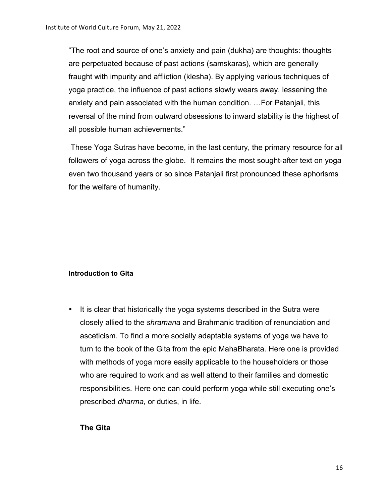"The root and source of one's anxiety and pain (dukha) are thoughts: thoughts are perpetuated because of past actions (samskaras), which are generally fraught with impurity and affliction (klesha). By applying various techniques of yoga practice, the influence of past actions slowly wears away, lessening the anxiety and pain associated with the human condition. …For Patanjali, this reversal of the mind from outward obsessions to inward stability is the highest of all possible human achievements."

These Yoga Sutras have become, in the last century, the primary resource for all followers of yoga across the globe. It remains the most sought-after text on yoga even two thousand years or so since Patanjali first pronounced these aphorisms for the welfare of humanity.

#### **Introduction to Gita**

• It is clear that historically the yoga systems described in the Sutra were closely allied to the *shramana* and Brahmanic tradition of renunciation and asceticism. To find a more socially adaptable systems of yoga we have to turn to the book of the Gita from the epic MahaBharata. Here one is provided with methods of yoga more easily applicable to the householders or those who are required to work and as well attend to their families and domestic responsibilities. Here one can could perform yoga while still executing one's prescribed *dharma,* or duties, in life.

### **The Gita**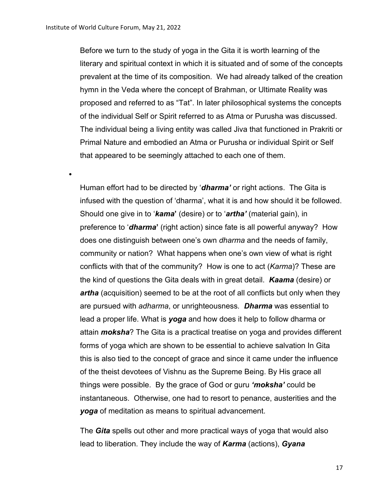•

Before we turn to the study of yoga in the Gita it is worth learning of the literary and spiritual context in which it is situated and of some of the concepts prevalent at the time of its composition. We had already talked of the creation hymn in the Veda where the concept of Brahman, or Ultimate Reality was proposed and referred to as "Tat". In later philosophical systems the concepts of the individual Self or Spirit referred to as Atma or Purusha was discussed. The individual being a living entity was called Jiva that functioned in Prakriti or Primal Nature and embodied an Atma or Purusha or individual Spirit or Self that appeared to be seemingly attached to each one of them.

Human effort had to be directed by '*dharma'* or right actions. The Gita is infused with the question of 'dharma', what it is and how should it be followed. Should one give in to '*kama***'** (desire) or to '*artha'* (material gain), in preference to '*dharma***'** (right action) since fate is all powerful anyway? How does one distinguish between one's own *dharma* and the needs of family, community or nation? What happens when one's own view of what is right conflicts with that of the community? How is one to act (*Karma*)? These are the kind of questions the Gita deals with in great detail. *Kaama* (desire) or *artha* (acquisition) seemed to be at the root of all conflicts but only when they are pursued with *adharma*, or unrighteousness*. Dharma* was essential to lead a proper life. What is *yoga* and how does it help to follow dharma or attain *moksha*? The Gita is a practical treatise on yoga and provides different forms of yoga which are shown to be essential to achieve salvation In Gita this is also tied to the concept of grace and since it came under the influence of the theist devotees of Vishnu as the Supreme Being. By His grace all things were possible. By the grace of God or guru *'moksha'* could be instantaneous. Otherwise, one had to resort to penance, austerities and the *yoga* of meditation as means to spiritual advancement.

The *Gita* spells out other and more practical ways of yoga that would also lead to liberation. They include the way of *Karma* (actions), *Gyana*

17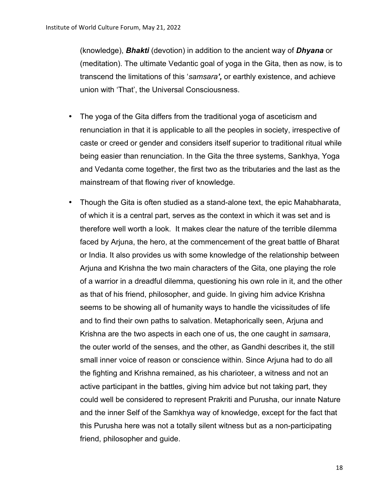(knowledge), *Bhakti* (devotion) in addition to the ancient way of *Dhyana* or (meditation). The ultimate Vedantic goal of yoga in the Gita, then as now, is to transcend the limitations of this '*samsara',* or earthly existence, and achieve union with 'That', the Universal Consciousness.

- The yoga of the Gita differs from the traditional yoga of asceticism and renunciation in that it is applicable to all the peoples in society, irrespective of caste or creed or gender and considers itself superior to traditional ritual while being easier than renunciation. In the Gita the three systems, Sankhya, Yoga and Vedanta come together, the first two as the tributaries and the last as the mainstream of that flowing river of knowledge.
- Though the Gita is often studied as a stand-alone text, the epic Mahabharata, of which it is a central part, serves as the context in which it was set and is therefore well worth a look. It makes clear the nature of the terrible dilemma faced by Arjuna, the hero, at the commencement of the great battle of Bharat or India. It also provides us with some knowledge of the relationship between Arjuna and Krishna the two main characters of the Gita, one playing the role of a warrior in a dreadful dilemma, questioning his own role in it, and the other as that of his friend, philosopher, and guide. In giving him advice Krishna seems to be showing all of humanity ways to handle the vicissitudes of life and to find their own paths to salvation. Metaphorically seen, Arjuna and Krishna are the two aspects in each one of us, the one caught in *samsara*, the outer world of the senses, and the other, as Gandhi describes it, the still small inner voice of reason or conscience within. Since Arjuna had to do all the fighting and Krishna remained, as his charioteer, a witness and not an active participant in the battles, giving him advice but not taking part, they could well be considered to represent Prakriti and Purusha, our innate Nature and the inner Self of the Samkhya way of knowledge, except for the fact that this Purusha here was not a totally silent witness but as a non-participating friend, philosopher and guide.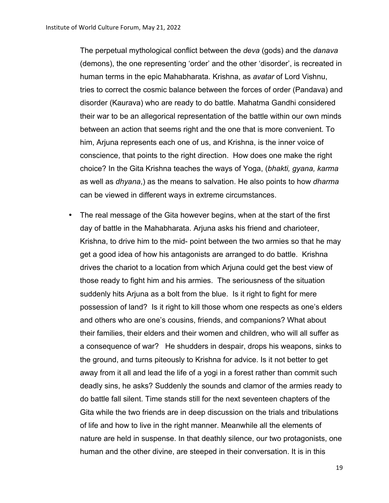The perpetual mythological conflict between the *deva* (gods) and the *danava* (demons), the one representing 'order' and the other 'disorder', is recreated in human terms in the epic Mahabharata. Krishna, as *avatar* of Lord Vishnu, tries to correct the cosmic balance between the forces of order (Pandava) and disorder (Kaurava) who are ready to do battle. Mahatma Gandhi considered their war to be an allegorical representation of the battle within our own minds between an action that seems right and the one that is more convenient. To him, Arjuna represents each one of us, and Krishna, is the inner voice of conscience, that points to the right direction. How does one make the right choice? In the Gita Krishna teaches the ways of Yoga, (*bhakti, gyana, karma*  as well as *dhyana*,) as the means to salvation. He also points to how *dharma* can be viewed in different ways in extreme circumstances.

• The real message of the Gita however begins, when at the start of the first day of battle in the Mahabharata. Arjuna asks his friend and charioteer, Krishna, to drive him to the mid- point between the two armies so that he may get a good idea of how his antagonists are arranged to do battle. Krishna drives the chariot to a location from which Arjuna could get the best view of those ready to fight him and his armies. The seriousness of the situation suddenly hits Arjuna as a bolt from the blue. Is it right to fight for mere possession of land? Is it right to kill those whom one respects as one's elders and others who are one's cousins, friends, and companions? What about their families, their elders and their women and children, who will all suffer as a consequence of war? He shudders in despair, drops his weapons, sinks to the ground, and turns piteously to Krishna for advice. Is it not better to get away from it all and lead the life of a yogi in a forest rather than commit such deadly sins, he asks? Suddenly the sounds and clamor of the armies ready to do battle fall silent. Time stands still for the next seventeen chapters of the Gita while the two friends are in deep discussion on the trials and tribulations of life and how to live in the right manner. Meanwhile all the elements of nature are held in suspense. In that deathly silence, our two protagonists, one human and the other divine, are steeped in their conversation. It is in this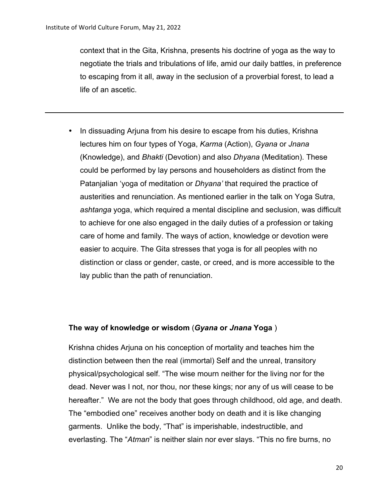context that in the Gita, Krishna, presents his doctrine of yoga as the way to negotiate the trials and tribulations of life, amid our daily battles, in preference to escaping from it all, away in the seclusion of a proverbial forest, to lead a life of an ascetic.

• In dissuading Arjuna from his desire to escape from his duties, Krishna lectures him on four types of Yoga, *Karma* (Action), *Gyana* or *Jnana* (Knowledge), and *Bhakti* (Devotion) and also *Dhyana* (Meditation). These could be performed by lay persons and householders as distinct from the Patanjalian 'yoga of meditation or *Dhyana'* that required the practice of austerities and renunciation. As mentioned earlier in the talk on Yoga Sutra, *ashtanga* yoga, which required a mental discipline and seclusion, was difficult to achieve for one also engaged in the daily duties of a profession or taking care of home and family. The ways of action, knowledge or devotion were easier to acquire. The Gita stresses that yoga is for all peoples with no distinction or class or gender, caste, or creed, and is more accessible to the lay public than the path of renunciation.

### **The way of knowledge or wisdom** (*Gyana* **or** *Jnana* **Yoga** )

Krishna chides Arjuna on his conception of mortality and teaches him the distinction between then the real (immortal) Self and the unreal, transitory physical/psychological self. "The wise mourn neither for the living nor for the dead. Never was I not, nor thou, nor these kings; nor any of us will cease to be hereafter." We are not the body that goes through childhood, old age, and death. The "embodied one" receives another body on death and it is like changing garments. Unlike the body, "That" is imperishable, indestructible, and everlasting. The "*Atman*" is neither slain nor ever slays. "This no fire burns, no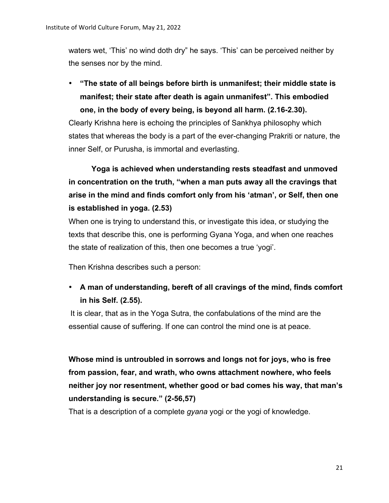waters wet, 'This' no wind doth dry" he says. 'This' can be perceived neither by the senses nor by the mind.

• **"The state of all beings before birth is unmanifest; their middle state is manifest; their state after death is again unmanifest". This embodied one, in the body of every being, is beyond all harm. (2.16-2.30).** 

Clearly Krishna here is echoing the principles of Sankhya philosophy which states that whereas the body is a part of the ever-changing Prakriti or nature, the inner Self, or Purusha, is immortal and everlasting.

**Yoga is achieved when understanding rests steadfast and unmoved in concentration on the truth, "when a man puts away all the cravings that arise in the mind and finds comfort only from his 'atman', or Self, then one is established in yoga. (2.53)**

When one is trying to understand this, or investigate this idea, or studying the texts that describe this, one is performing Gyana Yoga, and when one reaches the state of realization of this, then one becomes a true 'yogi'.

Then Krishna describes such a person:

• **A man of understanding, bereft of all cravings of the mind, finds comfort in his Self. (2.55).** 

It is clear, that as in the Yoga Sutra, the confabulations of the mind are the essential cause of suffering. If one can control the mind one is at peace.

**Whose mind is untroubled in sorrows and longs not for joys, who is free from passion, fear, and wrath, who owns attachment nowhere, who feels neither joy nor resentment, whether good or bad comes his way, that man's understanding is secure." (2-56,57)**

That is a description of a complete *gyana* yogi or the yogi of knowledge.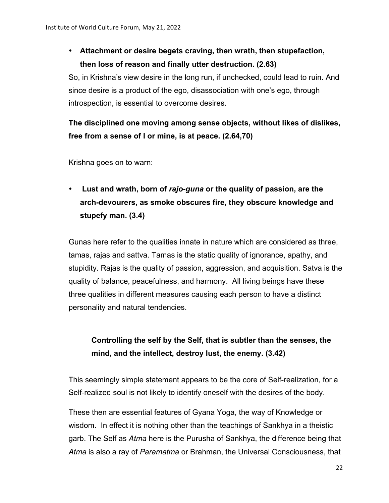## • **Attachment or desire begets craving, then wrath, then stupefaction, then loss of reason and finally utter destruction. (2.63)**

So, in Krishna's view desire in the long run, if unchecked, could lead to ruin. And since desire is a product of the ego, disassociation with one's ego, through introspection, is essential to overcome desires.

## **The disciplined one moving among sense objects, without likes of dislikes, free from a sense of I or mine, is at peace. (2.64,70)**

Krishna goes on to warn:

• **Lust and wrath, born of** *rajo-guna* **or the quality of passion, are the arch-devourers, as smoke obscures fire, they obscure knowledge and stupefy man. (3.4)**

Gunas here refer to the qualities innate in nature which are considered as three, tamas, rajas and sattva. Tamas is the static quality of ignorance, apathy, and stupidity. Rajas is the quality of passion, aggression, and acquisition. Satva is the quality of balance, peacefulness, and harmony. All living beings have these three qualities in different measures causing each person to have a distinct personality and natural tendencies.

## **Controlling the self by the Self, that is subtler than the senses, the mind, and the intellect, destroy lust, the enemy. (3.42)**

This seemingly simple statement appears to be the core of Self-realization, for a Self-realized soul is not likely to identify oneself with the desires of the body.

These then are essential features of Gyana Yoga, the way of Knowledge or wisdom. In effect it is nothing other than the teachings of Sankhya in a theistic garb. The Self as *Atma* here is the Purusha of Sankhya, the difference being that *Atma* is also a ray of *Paramatma* or Brahman, the Universal Consciousness, that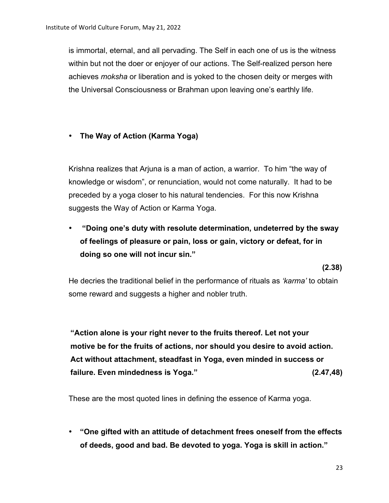is immortal, eternal, and all pervading. The Self in each one of us is the witness within but not the doer or enjoyer of our actions. The Self-realized person here achieves *moksha* or liberation and is yoked to the chosen deity or merges with the Universal Consciousness or Brahman upon leaving one's earthly life.

### • **The Way of Action (Karma Yoga)**

Krishna realizes that Arjuna is a man of action, a warrior. To him "the way of knowledge or wisdom", or renunciation, would not come naturally. It had to be preceded by a yoga closer to his natural tendencies. For this now Krishna suggests the Way of Action or Karma Yoga.

• **"Doing one's duty with resolute determination, undeterred by the sway of feelings of pleasure or pain, loss or gain, victory or defeat, for in doing so one will not incur sin."**

**(2.38)** 

He decries the traditional belief in the performance of rituals as *'karma'* to obtain some reward and suggests a higher and nobler truth.

**"Action alone is your right never to the fruits thereof. Let not your motive be for the fruits of actions, nor should you desire to avoid action. Act without attachment, steadfast in Yoga, even minded in success or failure. Even mindedness is Yoga." (2.47,48)**

These are the most quoted lines in defining the essence of Karma yoga.

• **"One gifted with an attitude of detachment frees oneself from the effects of deeds, good and bad. Be devoted to yoga. Yoga is skill in action."**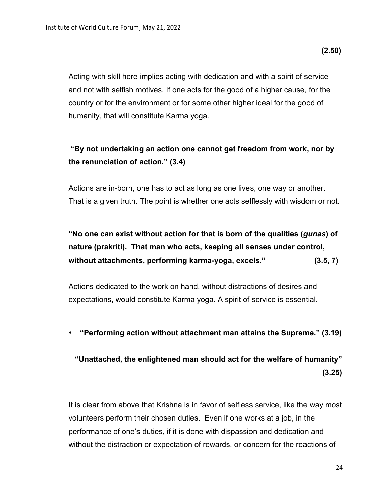Acting with skill here implies acting with dedication and with a spirit of service and not with selfish motives. If one acts for the good of a higher cause, for the country or for the environment or for some other higher ideal for the good of humanity, that will constitute Karma yoga.

## **"By not undertaking an action one cannot get freedom from work, nor by the renunciation of action." (3.4)**

Actions are in-born, one has to act as long as one lives, one way or another. That is a given truth. The point is whether one acts selflessly with wisdom or not.

**"No one can exist without action for that is born of the qualities (***gunas***) of nature (prakriti). That man who acts, keeping all senses under control, without attachments, performing karma-yoga, excels." (3.5, 7)** 

Actions dedicated to the work on hand, without distractions of desires and expectations, would constitute Karma yoga. A spirit of service is essential.

• **"Performing action without attachment man attains the Supreme." (3.19)**

## **"Unattached, the enlightened man should act for the welfare of humanity" (3.25)**

It is clear from above that Krishna is in favor of selfless service, like the way most volunteers perform their chosen duties. Even if one works at a job, in the performance of one's duties, if it is done with dispassion and dedication and without the distraction or expectation of rewards, or concern for the reactions of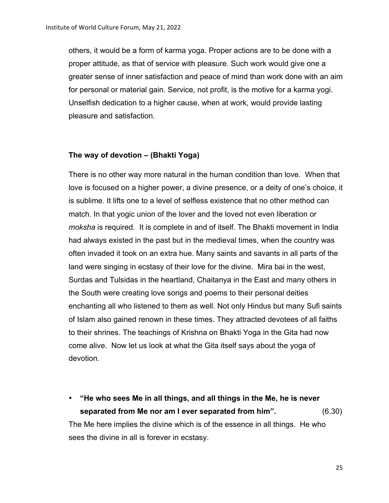others, it would be a form of karma yoga. Proper actions are to be done with a proper attitude, as that of service with pleasure. Such work would give one a greater sense of inner satisfaction and peace of mind than work done with an aim for personal or material gain. Service, not profit, is the motive for a karma yogi. Unselfish dedication to a higher cause, when at work, would provide lasting pleasure and satisfaction.

#### **The way of devotion – (Bhakti Yoga)**

There is no other way more natural in the human condition than love. When that love is focused on a higher power, a divine presence, or a deity of one's choice, it is sublime. It lifts one to a level of selfless existence that no other method can match. In that yogic union of the lover and the loved not even liberation or *moksha* is required. It is complete in and of itself. The Bhakti movement in India had always existed in the past but in the medieval times, when the country was often invaded it took on an extra hue. Many saints and savants in all parts of the land were singing in ecstasy of their love for the divine. Mira bai in the west, Surdas and Tulsidas in the heartland, Chaitanya in the East and many others in the South were creating love songs and poems to their personal deities enchanting all who listened to them as well. Not only Hindus but many Sufi saints of Islam also gained renown in these times. They attracted devotees of all faiths to their shrines. The teachings of Krishna on Bhakti Yoga in the Gita had now come alive. Now let us look at what the Gita itself says about the yoga of devotion.

• **"He who sees Me in all things, and all things in the Me, he is never separated from Me nor am I ever separated from him".** (6.30) The Me here implies the divine which is of the essence in all things. He who sees the divine in all is forever in ecstasy.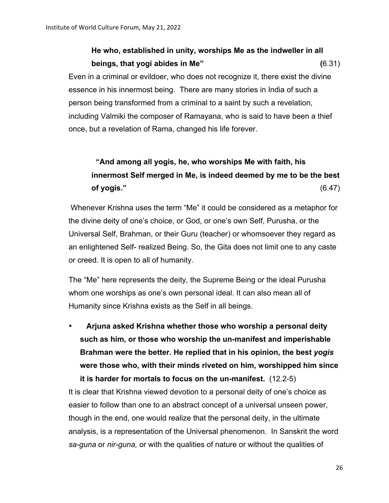# **He who, established in unity, worships Me as the indweller in all beings, that yogi abides in Me" (**6.31) Even in a criminal or evildoer, who does not recognize it, there exist the divine essence in his innermost being. There are many stories in India of such a person being transformed from a criminal to a saint by such a revelation, including Valmiki the composer of Ramayana, who is said to have been a thief once, but a revelation of Rama, changed his life forever.

# **"And among all yogis, he, who worships Me with faith, his innermost Self merged in Me, is indeed deemed by me to be the best of yogis."** (6.47)

Whenever Krishna uses the term "Me" it could be considered as a metaphor for the divine deity of one's choice, or God, or one's own Self, Purusha, or the Universal Self, Brahman, or their Guru (teacher) or whomsoever they regard as an enlightened Self- realized Being. So, the Gita does not limit one to any caste or creed. It is open to all of humanity.

The "Me" here represents the deity, the Supreme Being or the ideal Purusha whom one worships as one's own personal ideal. It can also mean all of Humanity since Krishna exists as the Self in all beings.

• **Arjuna asked Krishna whether those who worship a personal deity such as him, or those who worship the un-manifest and imperishable Brahman were the better. He replied that in his opinion, the best** *yogis* **were those who, with their minds riveted on him, worshipped him since it is harder for mortals to focus on the un-manifest.** (12.2-5)

It is clear that Krishna viewed devotion to a personal deity of one's choice as easier to follow than one to an abstract concept of a universal unseen power, though in the end, one would realize that the personal deity, in the ultimate analysis, is a representation of the Universal phenomenon. In Sanskrit the word *sa-guna* or *nir-guna,* or with the qualities of nature or without the qualities of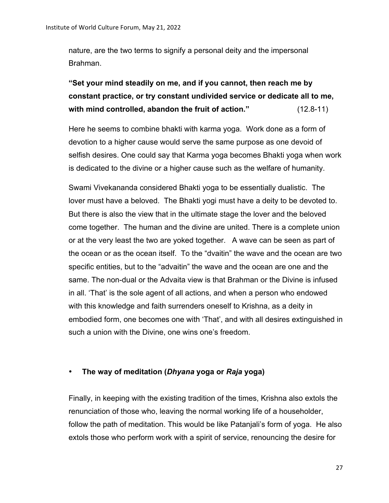nature, are the two terms to signify a personal deity and the impersonal Brahman.

**"Set your mind steadily on me, and if you cannot, then reach me by constant practice, or try constant undivided service or dedicate all to me, with mind controlled, abandon the fruit of action."** (12.8-11)

Here he seems to combine bhakti with karma yoga. Work done as a form of devotion to a higher cause would serve the same purpose as one devoid of selfish desires. One could say that Karma yoga becomes Bhakti yoga when work is dedicated to the divine or a higher cause such as the welfare of humanity.

Swami Vivekananda considered Bhakti yoga to be essentially dualistic. The lover must have a beloved. The Bhakti yogi must have a deity to be devoted to. But there is also the view that in the ultimate stage the lover and the beloved come together. The human and the divine are united. There is a complete union or at the very least the two are yoked together. A wave can be seen as part of the ocean or as the ocean itself. To the "dvaitin" the wave and the ocean are two specific entities, but to the "advaitin" the wave and the ocean are one and the same. The non-dual or the Advaita view is that Brahman or the Divine is infused in all. 'That' is the sole agent of all actions, and when a person who endowed with this knowledge and faith surrenders oneself to Krishna, as a deity in embodied form, one becomes one with 'That', and with all desires extinguished in such a union with the Divine, one wins one's freedom.

### • **The way of meditation (***Dhyana* **yoga or** *Raja* **yoga)**

Finally, in keeping with the existing tradition of the times, Krishna also extols the renunciation of those who, leaving the normal working life of a householder, follow the path of meditation. This would be like Patanjali's form of yoga. He also extols those who perform work with a spirit of service, renouncing the desire for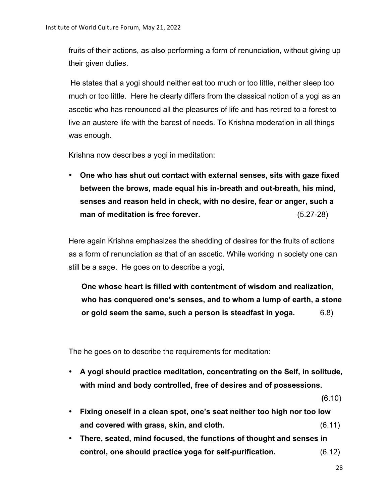fruits of their actions, as also performing a form of renunciation, without giving up their given duties.

He states that a yogi should neither eat too much or too little, neither sleep too much or too little. Here he clearly differs from the classical notion of a yogi as an ascetic who has renounced all the pleasures of life and has retired to a forest to live an austere life with the barest of needs. To Krishna moderation in all things was enough.

Krishna now describes a yogi in meditation:

• **One who has shut out contact with external senses, sits with gaze fixed between the brows, made equal his in-breath and out-breath, his mind, senses and reason held in check, with no desire, fear or anger, such a man of meditation is free forever.** (5.27-28)

Here again Krishna emphasizes the shedding of desires for the fruits of actions as a form of renunciation as that of an ascetic. While working in society one can still be a sage. He goes on to describe a yogi,

**One whose heart is filled with contentment of wisdom and realization, who has conquered one's senses, and to whom a lump of earth, a stone or gold seem the same, such a person is steadfast in yoga.** 6.8)

The he goes on to describe the requirements for meditation:

• **A yogi should practice meditation, concentrating on the Self, in solitude, with mind and body controlled, free of desires and of possessions.** 

 **(**6.10)

- **Fixing oneself in a clean spot, one's seat neither too high nor too low and covered with grass, skin, and cloth.** (6.11)
- **There, seated, mind focused, the functions of thought and senses in control, one should practice yoga for self-purification.** (6.12)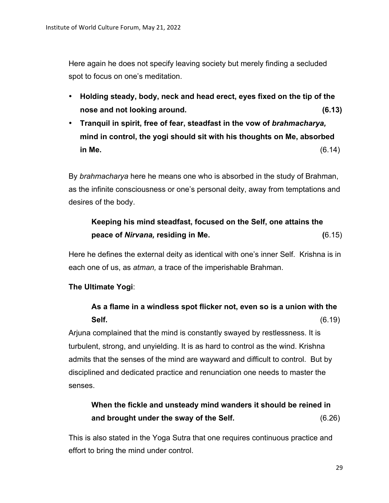Here again he does not specify leaving society but merely finding a secluded spot to focus on one's meditation.

- **Holding steady, body, neck and head erect, eyes fixed on the tip of the nose and not looking around. (6.13)**
- **Tranquil in spirit, free of fear, steadfast in the vow of** *brahmacharya,* **mind in control, the yogi should sit with his thoughts on Me, absorbed in Me.** (6.14)

By *brahmacharya* here he means one who is absorbed in the study of Brahman, as the infinite consciousness or one's personal deity, away from temptations and desires of the body.

### **Keeping his mind steadfast, focused on the Self, one attains the peace of** *Nirvana,* **residing in Me. (**6.15)

Here he defines the external deity as identical with one's inner Self. Krishna is in each one of us, as *atman,* a trace of the imperishable Brahman.

### **The Ultimate Yogi**:

## **As a flame in a windless spot flicker not, even so is a union with the Self.** (6.19)

Arjuna complained that the mind is constantly swayed by restlessness. It is turbulent, strong, and unyielding. It is as hard to control as the wind. Krishna admits that the senses of the mind are wayward and difficult to control. But by disciplined and dedicated practice and renunciation one needs to master the senses.

# **When the fickle and unsteady mind wanders it should be reined in and brought under the sway of the Self.** (6.26)

This is also stated in the Yoga Sutra that one requires continuous practice and effort to bring the mind under control.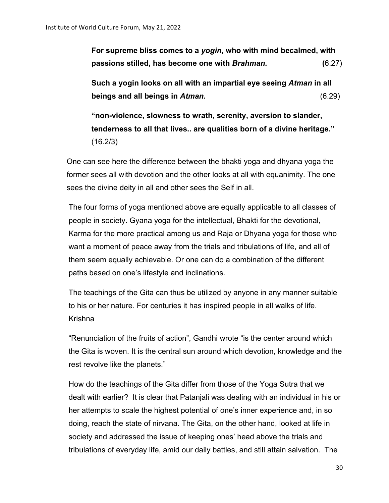**For supreme bliss comes to a** *yogin***, who with mind becalmed, with passions stilled, has become one with** *Brahman.* **(**6.27)

**Such a yogin looks on all with an impartial eye seeing** *Atman* **in all beings and all beings in** *Atman.* (6.29)

**"non-violence, slowness to wrath, serenity, aversion to slander, tenderness to all that lives.. are qualities born of a divine heritage."**  (16.2/3)

One can see here the difference between the bhakti yoga and dhyana yoga the former sees all with devotion and the other looks at all with equanimity. The one sees the divine deity in all and other sees the Self in all.

The four forms of yoga mentioned above are equally applicable to all classes of people in society. Gyana yoga for the intellectual, Bhakti for the devotional, Karma for the more practical among us and Raja or Dhyana yoga for those who want a moment of peace away from the trials and tribulations of life, and all of them seem equally achievable. Or one can do a combination of the different paths based on one's lifestyle and inclinations.

The teachings of the Gita can thus be utilized by anyone in any manner suitable to his or her nature. For centuries it has inspired people in all walks of life. Krishna

"Renunciation of the fruits of action", Gandhi wrote "is the center around which the Gita is woven. It is the central sun around which devotion, knowledge and the rest revolve like the planets."

How do the teachings of the Gita differ from those of the Yoga Sutra that we dealt with earlier? It is clear that Patanjali was dealing with an individual in his or her attempts to scale the highest potential of one's inner experience and, in so doing, reach the state of nirvana. The Gita, on the other hand, looked at life in society and addressed the issue of keeping ones' head above the trials and tribulations of everyday life, amid our daily battles, and still attain salvation. The